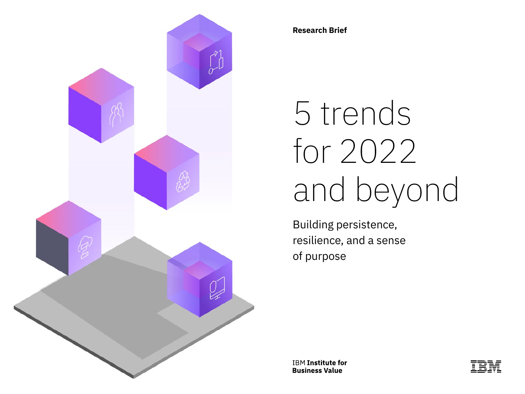

**Research Brief**

# 5 trends for 2022 and beyond

Building persistence, resilience, and a sense of purpose

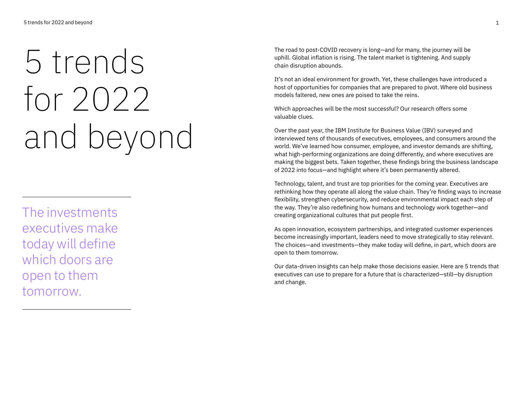# 5 trends for 2022 and beyond

The investments executives make today will define which doors are open to them tomorrow.

The road to post-COVID recovery is long—and for many, the journey will be uphill. Global inflation is rising. The talent market is tightening. And supply chain disruption abounds.

It's not an ideal environment for growth. Yet, these challenges have introduced a host of opportunities for companies that are prepared to pivot. Where old business models faltered, new ones are poised to take the reins.

Which approaches will be the most successful? Our research offers some valuable clues.

Over the past year, the IBM Institute for Business Value (IBV) surveyed and interviewed tens of thousands of executives, employees, and consumers around the world. We've learned how consumer, employee, and investor demands are shifting, what high-performing organizations are doing differently, and where executives are making the biggest bets. Taken together, these findings bring the business landscape of 2022 into focus—and highlight where it's been permanently altered.

Technology, talent, and trust are top priorities for the coming year. Executives are rethinking how they operate all along the value chain. They're finding ways to increase flexibility, strengthen cybersecurity, and reduce environmental impact each step of the way. They're also redefining how humans and technology work together—and creating organizational cultures that put people first.

As open innovation, ecosystem partnerships, and integrated customer experiences become increasingly important, leaders need to move strategically to stay relevant. The choices—and investments—they make today will define, in part, which doors are open to them tomorrow.

Our data-driven insights can help make those decisions easier. Here are 5 trends that executives can use to prepare for a future that is characterized—still—by disruption and change.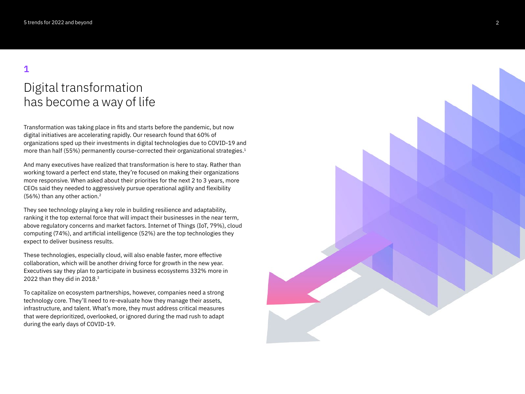# Digital transformation has become a way of life

Transformation was taking place in fits and starts before the pandemic, but now digital initiatives are accelerating rapidly. Our research found that 60% of organizations sped up their investments in digital technologies due to COVID-19 and more than half (55%) permanently course-corrected their organizational strategies. 1

And many executives have realized that transformation is here to stay. Rather than working toward a perfect end state, they're focused on making their organizations more responsive. When asked about their priorities for the next 2 to 3 years, more CEOs said they needed to aggressively pursue operational agility and flexibility (56%) than any other action. 2

They see technology playing a key role in building resilience and adaptability, ranking it the top external force that will impact their businesses in the near term, above regulatory concerns and market factors. Internet of Things (IoT, 79%), cloud computing (74%), and artificial intelligence (52%) are the top technologies they expect to deliver business results.

These technologies, especially cloud, will also enable faster, more effective collaboration, which will be another driving force for growth in the new year. Executives say they plan to participate in business ecosystems 332% more in 2022 than they did in 2018.3

To capitalize on ecosystem partnerships, however, companies need a strong technology core. They'll need to re-evaluate how they manage their assets, infrastructure, and talent. What's more, they must address critical measures that were deprioritized, overlooked, or ignored during the mad rush to adapt during the early days of COVID-19.

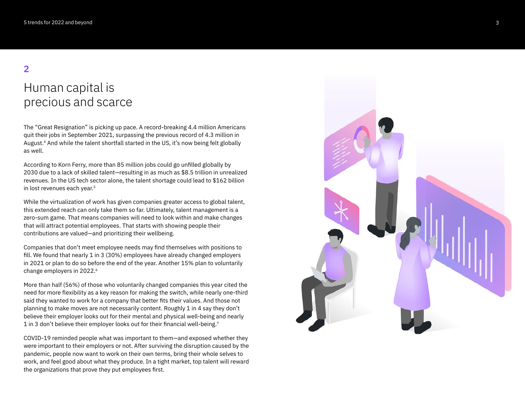# Human capital is precious and scarce

The "Great Resignation" is picking up pace. A record-breaking 4.4 million Americans quit their jobs in September 2021, surpassing the previous record of 4.3 million in August. 4 And while the talent shortfall started in the US, it's now being felt globally as well.

According to Korn Ferry, more than 85 million jobs could go unfilled globally by 2030 due to a lack of skilled talent—resulting in as much as \$8.5 trillion in unrealized revenues. In the US tech sector alone, the talent shortage could lead to \$162 billion in lost revenues each year. 5

While the virtualization of work has given companies greater access to global talent, this extended reach can only take them so far. Ultimately, talent management is a zero-sum game. That means companies will need to look within and make changes that will attract potential employees. That starts with showing people their contributions are valued—and prioritizing their wellbeing.

Companies that don't meet employee needs may find themselves with positions to fill. We found that nearly 1 in 3 (30%) employees have already changed employers in 2021 or plan to do so before the end of the year. Another 15% plan to voluntarily change employers in 2022. 6

More than half (56%) of those who voluntarily changed companies this year cited the need for more flexibility as a key reason for making the switch, while nearly one-third said they wanted to work for a company that better fits their values. And those not planning to make moves are not necessarily content. Roughly 1 in 4 say they don't believe their employer looks out for their mental and physical well-being and nearly 1 in 3 don't believe their employer looks out for their financial well-being. $^{\rm 7}$ 

COVID-19 reminded people what was important to them—and exposed whether they were important to their employers or not. After surviving the disruption caused by the pandemic, people now want to work on their own terms, bring their whole selves to work, and feel good about what they produce. In a tight market, top talent will reward the organizations that prove they put employees first.

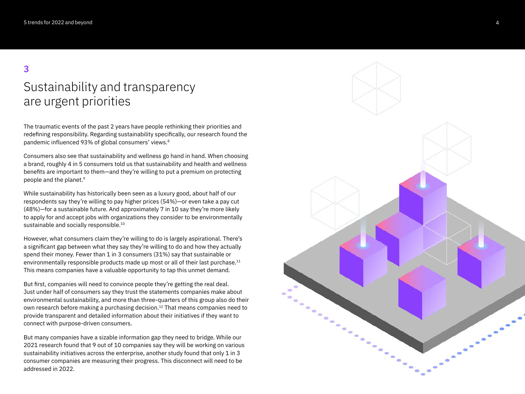# Sustainability and transparency are urgent priorities

The traumatic events of the past 2 years have people rethinking their priorities and redefining responsibility. Regarding sustainability specifically, our research found the pandemic influenced 93% of global consumers' views. 8

Consumers also see that sustainability and wellness go hand in hand. When choosing a brand, roughly 4 in 5 consumers told us that sustainability and health and wellness benefits are important to them—and they're willing to put a premium on protecting people and the planet. 9

While sustainability has historically been seen as a luxury good, about half of our respondents say they're willing to pay higher prices (54%)—or even take a pay cut (48%)—for a sustainable future. And approximately 7 in 10 say they're more likely to apply for and accept jobs with organizations they consider to be environmentally sustainable and socially responsible.<sup>10</sup>

However, what consumers claim they're willing to do is largely aspirational. There's a significant gap between what they say they're willing to do and how they actually spend their money. Fewer than 1 in 3 consumers (31%) say that sustainable or environmentally responsible products made up most or all of their last purchase.<sup>11</sup> This means companies have a valuable opportunity to tap this unmet demand.

But first, companies will need to convince people they're getting the real deal. Just under half of consumers say they trust the statements companies make about environmental sustainability, and more than three-quarters of this group also do their own research before making a purchasing decision.12 That means companies need to provide transparent and detailed information about their initiatives if they want to connect with purpose-driven consumers.

But many companies have a sizable information gap they need to bridge. While our 2021 research found that 9 out of 10 companies say they will be working on various sustainability initiatives across the enterprise, another study found that only 1 in 3 consumer companies are measuring their progress. This disconnect will need to be addressed in 2022.

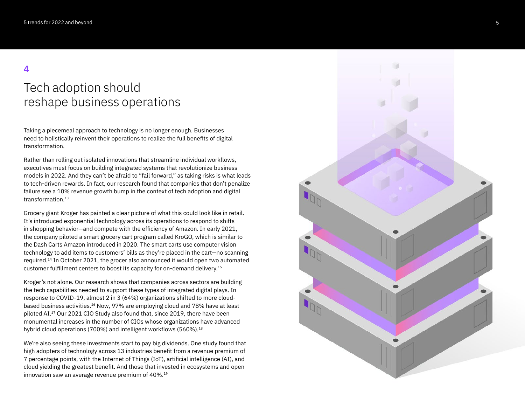## Tech adoption should reshape business operations

Taking a piecemeal approach to technology is no longer enough. Businesses need to holistically reinvent their operations to realize the full benefits of digital transformation.

Rather than rolling out isolated innovations that streamline individual workflows, executives must focus on building integrated systems that revolutionize business models in 2022. And they can't be afraid to "fail forward," as taking risks is what leads to tech-driven rewards. In fact, our research found that companies that don't penalize failure see a 10% revenue growth bump in the context of tech adoption and digital transformation.<sup>13</sup>

Grocery giant Kroger has painted a clear picture of what this could look like in retail. It's introduced exponential technology across its operations to respond to shifts in shopping behavior—and compete with the efficiency of Amazon. In early 2021, the company piloted a smart grocery cart program called KroGO, which is similar to the Dash Carts Amazon introduced in 2020. The smart carts use computer vision technology to add items to customers' bills as they're placed in the cart—no scanning required.14 In October 2021, the grocer also announced it would open two automated customer fulfillment centers to boost its capacity for on-demand delivery.<sup>15</sup>

Kroger's not alone. Our research shows that companies across sectors are building the tech capabilities needed to support these types of integrated digital plays. In response to COVID-19, almost 2 in 3 (64%) organizations shifted to more cloudbased business activities.<sup>16</sup> Now, 97% are employing cloud and 78% have at least piloted AI.17 Our 2021 CIO Study also found that, since 2019, there have been monumental increases in the number of CIOs whose organizations have advanced hybrid cloud operations (700%) and intelligent workflows (560%).<sup>18</sup>

We're also seeing these investments start to pay big dividends. One study found that high adopters of technology across 13 industries benefit from a revenue premium of 7 percentage points, with the Internet of Things (IoT), artificial intelligence (AI), and cloud yielding the greatest benefit. And those that invested in ecosystems and open innovation saw an average revenue premium of 40%.19

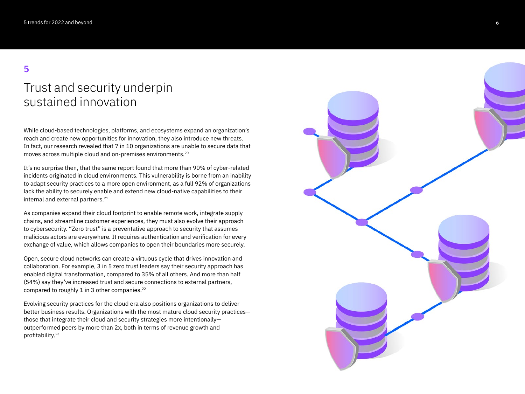## Trust and security underpin sustained innovation

While cloud-based technologies, platforms, and ecosystems expand an organization's reach and create new opportunities for innovation, they also introduce new threats. In fact, our research revealed that 7 in 10 organizations are unable to secure data that moves across multiple cloud and on-premises environments.20

It's no surprise then, that the same report found that more than 90% of cyber-related incidents originated in cloud environments. This vulnerability is borne from an inability to adapt security practices to a more open environment, as a full 92% of organizations lack the ability to securely enable and extend new cloud-native capabilities to their internal and external partners.<sup>21</sup>

As companies expand their cloud footprint to enable remote work, integrate supply chains, and streamline customer experiences, they must also evolve their approach to cybersecurity. "Zero trust" is a preventative approach to security that assumes malicious actors are everywhere. It requires authentication and verification for every exchange of value, which allows companies to open their boundaries more securely.

Open, secure cloud networks can create a virtuous cycle that drives innovation and collaboration. For example, 3 in 5 zero trust leaders say their security approach has enabled digital transformation, compared to 35% of all others. And more than half (54%) say they've increased trust and secure connections to external partners, compared to roughly 1 in 3 other companies.<sup>22</sup>

Evolving security practices for the cloud era also positions organizations to deliver better business results. Organizations with the most mature cloud security practices those that integrate their cloud and security strategies more intentionally outperformed peers by more than 2x, both in terms of revenue growth and profitability.<sup>23</sup>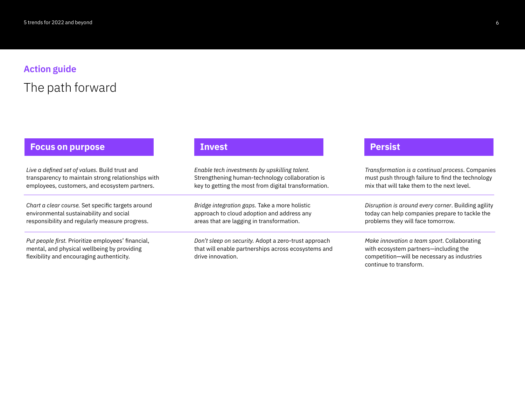# **Action guide** The path forward

#### **Focus on purpose and investigation of the Investigation of the Investigation of the Investigation of the Investigation of the Investigation of the Investigation of the Investigation of the Investigation of the Investigati**

*Live a defined set of values.* Build trust and transparency to maintain strong relationships with employees, customers, and ecosystem partners.

*Chart a clear course.* Set specific targets around environmental sustainability and social responsibility and regularly measure progress.

*Put people first.* Prioritize employees' financial, mental, and physical wellbeing by providing flexibility and encouraging authenticity.

*Enable tech investments by upskilling talent.*  Strengthening human-technology collaboration is key to getting the most from digital transformation.

*Bridge integration gaps.* Take a more holistic approach to cloud adoption and address any areas that are lagging in transformation.

*Don't sleep on security.* Adopt a zero-trust approach that will enable partnerships across ecosystems and drive innovation.

*Transformation is a continual process*. Companies must push through failure to find the technology mix that will take them to the next level.

*Disruption is around every corner*. Building agility today can help companies prepare to tackle the problems they will face tomorrow.

*Make innovation a team sport*. Collaborating with ecosystem partners—including the competition—will be necessary as industries continue to transform.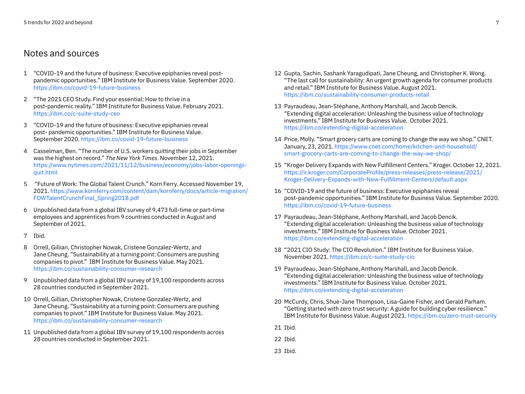#### Notes and sources

- 1 "COVID-19 and the future of business: Executive epiphanies reveal postpandemic opportunities." IBM Institute for Business Value. September 2020. <https://ibm.co/covid-19-future-business>
- 2 "The 2021 CEO Study. Find your essential: How to thrive in a post-pandemic reality." IBM Institute for Business Value. February 2021. <https://ibm.co/c-suite-study-ceo>
- 3 "COVID-19 and the future of business: Executive epiphanies reveal post- pandemic opportunities." IBM Institute for Business Value. September 2020.<https://ibm.co/covid-19-future-business>
- 4 Casselman, Ben. "The number of U.S. workers quitting their jobs in September was the highest on record." *The New York Times*. November 12, 2021. [https://www.nytimes.com/2021/11/12/business/economy/jobs-labor-openings](https://www.nytimes.com/2021/11/12/business/economy/jobs-labor-openings-quit.html)[quit.html](https://www.nytimes.com/2021/11/12/business/economy/jobs-labor-openings-quit.html)
- 5 "Future of Work: The Global Talent Crunch." Korn Ferry. Accessed November 19, 2021. [https://www.kornferry.com/content/dam/kornferry/docs/article-migration/](https://www.kornferry.com/content/dam/kornferry/docs/article-migration/FOWTalentCrunchFinal_Spring2018.pdf) [FOWTalentCrunchFinal\\_Spring2018.pdf](https://www.kornferry.com/content/dam/kornferry/docs/article-migration/FOWTalentCrunchFinal_Spring2018.pdf)
- 6 Unpublished data from a global IBV survey of 9,473 full-time or part-time employees and apprentices from 9 countries conducted in August and September of 2021.
- 7 Ibid.
- 8 Orrell, Gillian, Christopher Nowak, Cristene Gonzalez-Wertz, and Jane Cheung. "Sustainability at a turning point: Consumers are pushing companies to pivot." IBM Institute for Business Value. May 2021. <https://ibm.co/sustainability-consumer-research>
- 9 Unpublished data from a global IBV survey of 19,100 respondents across 28 countries conducted in September 2021.
- 10 Orrell, Gillian, Christopher Nowak, Cristene Gonzalez-Wertz, and Jane Cheung. "Sustainability at a turning point: Consumers are pushing companies to pivot." IBM Institute for Business Value. May 2021. <https://ibm.co/sustainability-consumer-research>
- 11 Unpublished data from a global IBV survey of 19,100 respondents across 28 countries conducted in September 2021.
- 12 Gupta, Sachin, Sashank Yaragudipati, Jane Cheung, and Christopher K. Wong. "The last call for sustainability: An urgent growth agenda for consumer products and retail." IBM Institute for Business Value. August 2021. <https://ibm.co/sustainability-consumer-products-retail>
- 13 Payraudeau, Jean-Stéphane, Anthony Marshall, and Jacob Dencik. "Extending digital acceleration: Unleashing the business value of technology investments." IBM Institute for Business Value. October 2021. <https://ibm.co/extending-digital-acceleration>
- 14 Price, Molly. "Smart grocery carts are coming to change the way we shop." CNET. January, 23, 2021. [https://www.cnet.com/home/kitchen-and-household/](https://www.cnet.com/home/kitchen-and-household/smart-grocery-carts-are-coming-to-change-the-way-we-shop/) [smart-grocery-carts-are-coming-to-change-the-way-we-shop/](https://www.cnet.com/home/kitchen-and-household/smart-grocery-carts-are-coming-to-change-the-way-we-shop/)
- 15 "Kroger Delivery Expands with New Fulfillment Centers." Kroger. October 12, 2021. [https://ir.kroger.com/CorporateProfile/press-releases/press-release/2021/](https://ir.kroger.com/CorporateProfile/press-releases/press-release/2021/Kroger-Delivery-Expands-with-New-Fulfillment-Centers/default.aspx) [Kroger-Delivery-Expands-with-New-Fulfillment-Centers/default.aspx](https://ir.kroger.com/CorporateProfile/press-releases/press-release/2021/Kroger-Delivery-Expands-with-New-Fulfillment-Centers/default.aspx)
- 16 "COVID-19 and the future of business: Executive epiphanies reveal post-pandemic opportunities." IBM Institute for Business Value. September 2020. <https://ibm.co/covid-19-future-business>
- 17 Payraudeau, Jean-Stéphane, Anthony Marshall, and Jacob Dencik. "Extending digital acceleration: Unleashing the business value of technology investments." IBM Institute for Business Value. October 2021. <https://ibm.co/extending-digital-acceleration>
- 18 "2021 CIO Study: The CIO Revolution." IBM Institute for Business Value. November 2021.<https://ibm.co/c-suite-study-cio>
- 19 Payraudeau, Jean-Stéphane, Anthony Marshall, and Jacob Dencik. "Extending digital acceleration: Unleashing the business value of technology investments." IBM Institute for Business Value. October 2021. <https://ibm.co/extending-digital-acceleration>
- 20 McCurdy, Chris, Shue-Jane Thompson, Lisa-Gaine Fisher, and Gerald Parham. "Getting started with zero trust security: A guide for building cyber resilience." IBM Institute for Business Value. August 2021.<https://ibm.co/zero-trust-security>
- 21 Ibid.
- 22 Ibid.
- 23 Ibid.